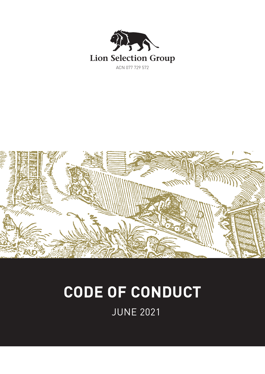



# **CODE OF CONDUCT**

JUNE 2021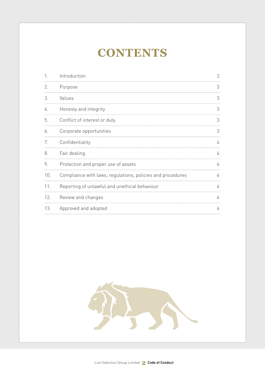# **CONTENTS**

|     | Introduction                                               | 3 |
|-----|------------------------------------------------------------|---|
| 2.  | Purpose                                                    | 3 |
| 3.  | Values                                                     | 3 |
| 4.  | Honesty and integrity                                      | 3 |
| 5.  | Conflict of interest or duty                               | 3 |
| 6.  | Corporate opportunities                                    | 3 |
| 7.  | Confidentiality                                            | 4 |
| 8.  | Fair dealing                                               | 4 |
| 9.  | Protection and proper use of assets                        | 4 |
| 10. | Compliance with laws, regulations, policies and procedures | 4 |
| 11. | Reporting of unlawful and unethical behaviour              | 4 |
| 12. | Review and changes                                         | 4 |
| 13. | Approved and adopted                                       | 4 |

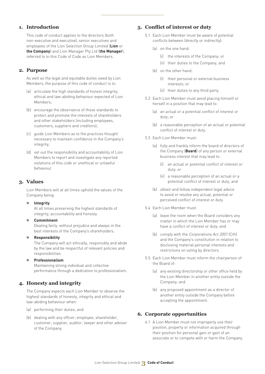#### **1. Introduction**

This code of conduct applies to the directors (both non-executive and executive), senior executives and employees of the Lion Selection Group Limited (**Lion** or **the Company**) and Lion Manager Pty Ltd (**the Manager**), referred to in this Code of Code as Lion Members.

#### **2. Purpose**

As well as the legal and equitable duties owed by Lion Members, the purpose of this code of conduct is to:

- (a) articulate the high standards of honest integrity, ethical and law-abiding behaviour expected of Lion Members;
- (b) encourage the observance of those standards to protect and promote the interests of shareholders and other stakeholders (including employees, customers, suppliers and creditors);
- (c) guide Lion Members as to the practices thought necessary to maintain confidence in the Company's integrity;
- (d) set out the responsibility and accountability of Lion Members to report and investigate any reported violations of this code or unethical or unlawful behaviour.

#### **3. Values**

Lion Members will at all times uphold the values of the Company being:

#### ● **Integrity**

At all times preserving the highest standards of integrity, accountability and honesty.

- **Commitment** Dealing fairly, without prejudice and always in the best interests of the Company's shareholders.
- **Responsibility**

The Company will act ethically, responsibly and abide by the law and be respectful of relevant policies and responsibilities.

#### ● **Professionalism**

Maintaining strong individual and collective performance through a dedication to professionalism.

## **4. Honesty and integrity**

The Company expects each Lion Member to observe the highest standards of honesty, integrity and ethical and law-abiding behaviour when:

- (a) performing their duties; and
- (b) dealing with any officer, employee, shareholder, customer, supplier, auditor, lawyer and other adviser of the Company.

#### **5. Conflict of interest or duty**

- 5.1 Each Lion Member must be aware of potential conflicts between (directly or indirectly):
	- (a) on the one hand:
		- (i) the interests of the Company; or
		- (ii) their duties to the Company; and
	- (b) on the other hand:
		- (i) their personal or external business interests; or
		- (ii) their duties to any third party.
- 5.2 Each Lion Member must avoid placing himself or herself in a position that may lead to:
	- (a) an actual or a potential conflict of interest or duty; or
	- (b) a reasonable perception of an actual or potential conflict of interest or duty.
- 5.3 Each Lion Member must:
	- (a) fully and frankly inform the board of directors of the Company (**Board**) of any person or external business interest that may lead to:
		- (i) an actual or potential conflict of interest or duty; or
		- (ii) a reasonable perception of an actual or a potential conflict of interest or duty; and
	- (b) obtain and follow independent legal advice to avoid or resolve any actual, potential or perceived conflict of interest or duty.
- 5.4 Each Lion Member must:
	- (a) leave the room when the Board considers any matter in which the Lion Member has or may have a conflict of interest or duty; and
	- (b) comply with the Corporations Act 2001 (Cth) and the Company's constitution in relation to disclosing material personal interests and restrictions on voting by directors.
- 5.5 Each Lion Member must inform the chairperson of the Board of:
	- (a) any existing directorship or other office held by the Lion Member in another entity outside the Company; and
	- (b) any proposed appointment as a director of another entity outside the Company before accepting the appointment.

## **6. Corporate opportunities**

6.1 A Lion Member must not improperly use their position, property or information acquired through their position for personal gain or gain of an associate or to compete with or harm the Company.